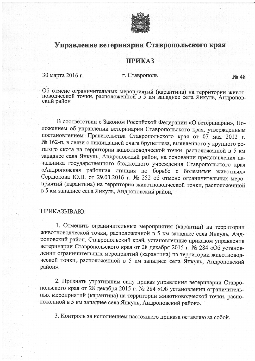

## Управление ветеринарии Ставропольского края

## **ПРИКАЗ**

30 марта 2016 г.

## г. Ставрополь

 $\mathcal{N}$ <sup>0</sup> 48

Об отмене ограничительных мероприятий (карантина) на территории живот-новодческой точки, расположенной в 5 км западнее села Янкуль, Андроповский район

В соответствии с Законом Российской Федерации «О ветеринарии», Положением об управлении ветеринарии Ставропольского края, утвержденным постановлением Правительства Ставропольского края от 07 мая 2012 г. № 162-п, в связи с ликвидацией очага бруцеллеза, выявленного у крупного рогатого скота на территории животноводческой точки, расположенной в 5 км западнее села Янкуль, Андроповский район, на основании представления начальника государственного бюджетного учреждения Ставропольского края «Андроповская районная станция по борьбе с болезнями животных» Сердюкова Ю.В. от 29.03.2016 г. № 252 об отмене ограничительных мероприятий (карантина) на территории животноводческой точки, расположенной в 5 км западнее села Янкуль, Андроповский район,

## ПРИКАЗЫВАЮ:

1. Отменить ограничительные мероприятия (карантин) на территории животноводческой точки, расположенной в 5 км западнее села Янкуль, Андроповский район, Ставропольский край, установленные приказом управления ветеринарии Ставропольского края от 28 декабря 2015 г. № 284 «Об установлении ограничительных мероприятий (карантина) на территории животноводческой точки, расположенной в 5 км западнее села Янкуль, Андроповский район».

2. Признать утратившим силу приказ управления ветеринарии Ставропольского края от 28 декабря 2015 г. № 284 «Об установлении ограничительных мероприятий (карантина) на территории животноводческой точки, расположенной в 5 км западнее села Янкуль, Андроповский район».

3. Контроль за исполнением настоящего приказа оставляю за собой.